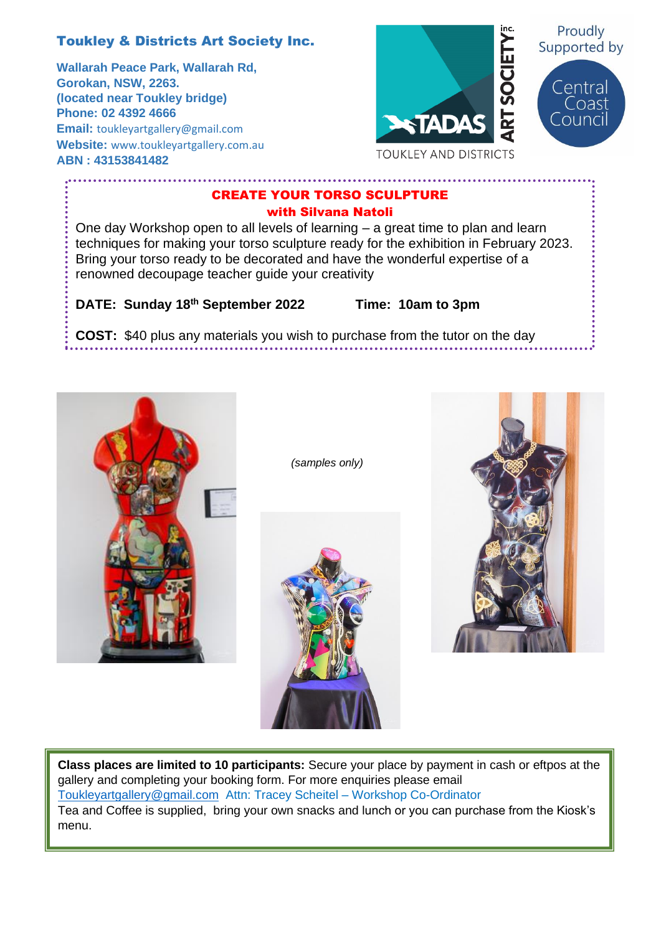#### Toukley & Districts Art Society Inc.

**Wallarah Peace Park, Wallarah Rd, Gorokan, NSW, 2263. (located near Toukley bridge) Phone: 02 4392 4666 Email:** [toukleyartgallery@gmail.com](mailto:toukleyartgallery@gmail.com) **Website:** [www.toukleyartgallery.com.au](http://www.toukleyartgallery.com.au/) **ABN : 43153841482**



#### CREATE YOUR TORSO SCULPTURE with Silvana Natoli

One day Workshop open to all levels of learning – a great time to plan and learn techniques for making your torso sculpture ready for the exhibition in February 2023. Bring your torso ready to be decorated and have the wonderful expertise of a renowned decoupage teacher guide your creativity

**DATE: Sunday 18th September 2022 Time: 10am to 3pm**

**COST:** \$40 plus any materials you wish to purchase from the tutor on the day



*(samples only)*





**Class places are limited to 10 participants:** Secure your place by payment in cash or eftpos at the gallery and completing your booking form. For more enquiries please email [Toukleyartgallery@gmail.com](mailto:Toukleyartgallery@gmail.com) Attn: Tracey Scheitel – Workshop Co-Ordinator Tea and Coffee is supplied, bring your own snacks and lunch or you can purchase from the Kiosk's menu.